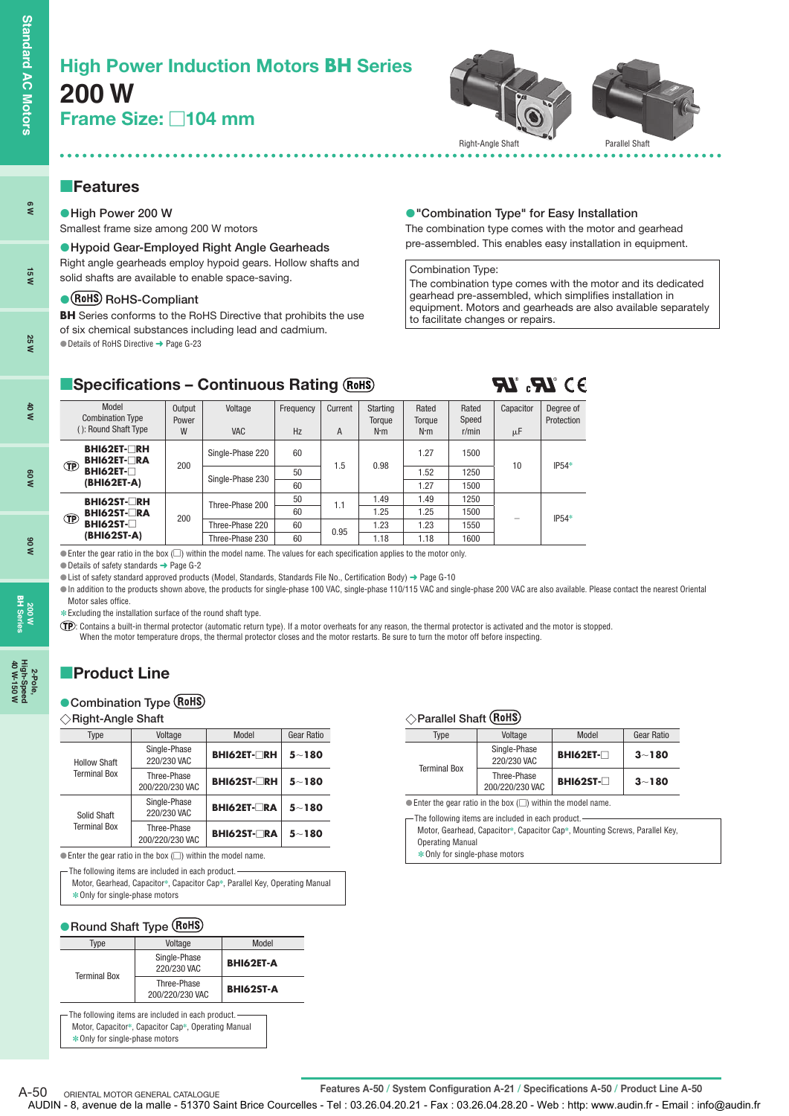**6 W**

**15 W**

**25 W**

**40 W**

**60 W**

**90 W**

**200 W BH Series**

**2-Pole, 40 W-150 W**



# **Features**

**High Power 200 W** Smallest frame size among 200 W motors

**Hypoid Gear-Employed Right Angle Gearheads** Right angle gearheads employ hypoid gears. Hollow shafts and solid shafts are available to enable space-saving.

#### **• (RoHS)** RoHS-Compliant

**BH** Series conforms to the RoHS Directive that prohibits the use of six chemical substances including lead and cadmium. ● Details of RoHS Directive → Page G-23

#### **"Combination Type" for Easy Installation**

The combination type comes with the motor and gearhead pre-assembled. This enables easy installation in equipment.

#### Combination Type:

The combination type comes with the motor and its dedicated gearhead pre-assembled, which simplifies installation in equipment. Motors and gearheads are also available separately to facilitate changes or repairs.

 $93^{\circ}R$   $R$ 

# **E**Specifications - Continuous Rating

| Model<br><b>Combination Type</b><br>(): Round Shaft Type | Output<br>Power<br>W | Voltage<br><b>VAC</b> | Frequency<br>Hz | Current<br>A | Starting<br>Torque<br>$N \cdot m$ | Rated<br>Torque<br>$N \cdot m$ | Rated<br>Speed<br>r/min | Capacitor<br>μF | Degree of<br>Protection |
|----------------------------------------------------------|----------------------|-----------------------|-----------------|--------------|-----------------------------------|--------------------------------|-------------------------|-----------------|-------------------------|
| <b>BHI62ET-□RH</b><br><b>BHI62ET-</b> RA                 |                      | Single-Phase 220      | 60              |              |                                   | 1.27                           | 1500                    |                 |                         |
| <b>TP</b><br>BHI62ET-                                    | 200                  | Single-Phase 230      | 50              | 1.5          | 0.98                              | 1.52                           | 1250                    | 10              | $IP54*$                 |
| (BHI62ET-A)                                              |                      |                       | 60              |              |                                   | 1.27                           | 1500                    |                 |                         |
| BHI62ST-RH                                               |                      | Three-Phase 200       | 50              | 1.1          | 1.49                              | 1.49                           | 1250                    |                 |                         |
| <b>BHI62ST-□RA</b><br><b>TP</b>                          | 200                  |                       | 60              |              | 1.25                              | 1.25                           | 1500                    |                 | $IP54*$                 |
| <b>BHI62ST-</b> □                                        |                      | Three-Phase 220       | 60              | 0.95         | 1.23                              | 1.23                           | 1550                    |                 |                         |
| (BHI62ST-A)                                              |                      | Three-Phase 230       | 60              |              | 1.18                              | 1.18                           | 1600                    |                 |                         |

 $\bullet$  Enter the gear ratio in the box ( $\Box$ ) within the model name. The values for each specification applies to the motor only.

Details of safety standards ➜ Page G-2

List of safety standard approved products (Model, Standards, Standards File No., Certification Body) ➜ Page G-10

In addition to the products shown above, the products for single-phase 100 VAC, single-phase 110/115 VAC and single-phase 200 VAC are also available. Please contact the nearest Oriental Motor sales office.

**∗** Excluding the installation surface of the round shaft type.

: Contains a built-in thermal protector (automatic return type). If a motor overheats for any reason, the thermal protector is activated and the motor is stopped. When the motor temperature drops, the thermal protector closes and the motor restarts. Be sure to turn the motor off before inspecting

# **Product Line**

#### **Combination Type**

#### **Right-Angle Shaft**

| Type                | Voltage                        | Model              | <b>Gear Ratio</b> |
|---------------------|--------------------------------|--------------------|-------------------|
| <b>Hollow Shaft</b> | Single-Phase<br>220/230 VAC    | <b>BHI62ET-RH</b>  | $5 - 180$         |
| <b>Terminal Box</b> | Three-Phase<br>200/220/230 VAC | <b>BHI62ST-ORH</b> | $5 - 180$         |
| Solid Shaft         | Single-Phase<br>220/230 VAC    | <b>BHI62ET-LRA</b> | $5 - 180$         |
| <b>Terminal Box</b> | Three-Phase<br>200/220/230 VAC | <b>BHI62ST-ORA</b> | $5 - 180$         |

 $\bullet$  Enter the gear ratio in the box ( $\Box$ ) within the model name.

- The following items are included in each product. -

| Motor, Gearhead, Capacitor*, Capacitor Cap*, Parallel Key, Operating Manual |  |
|-----------------------------------------------------------------------------|--|
| ∗Only for single-phase motors                                               |  |

#### **Round Shaft Type**

| Type                | Voltage                                                    | Model            |
|---------------------|------------------------------------------------------------|------------------|
| <b>Terminal Box</b> | Single-Phase<br>220/230 VAC                                | <b>BHI62ET-A</b> |
|                     | Three-Phase<br>200/220/230 VAC                             | <b>BHI62ST-A</b> |
|                     | $\Gamma$ The following items are included in each product. |                  |

Motor, Capacitor✽, Capacitor Cap✽, Operating Manual ✽Only for single-phase motors

#### **Parallel Shaft**

| Type                | Voltage                        | Model             | Gear Ratio |
|---------------------|--------------------------------|-------------------|------------|
| <b>Terminal Box</b> | Single-Phase<br>220/230 VAC    | <b>BHI62ET-</b> □ | $3 - 180$  |
|                     | Three-Phase<br>200/220/230 VAC | $BHI62ST-T$       | $3 - 180$  |

 $\bullet$  Enter the gear ratio in the box ( $\Box$ ) within the model name.

The following items are included in each product.

Motor, Gearhead, Capacitor✽, Capacitor Cap✽, Mounting Screws, Parallel Key, Operating Manual

✽Only for single-phase motors

A-50 ORIENTAL MOTOR GENERAL CATALOGUE<br>
Features A-50 / System Configuration A-21 / Specifications A-50 / Product Line A-50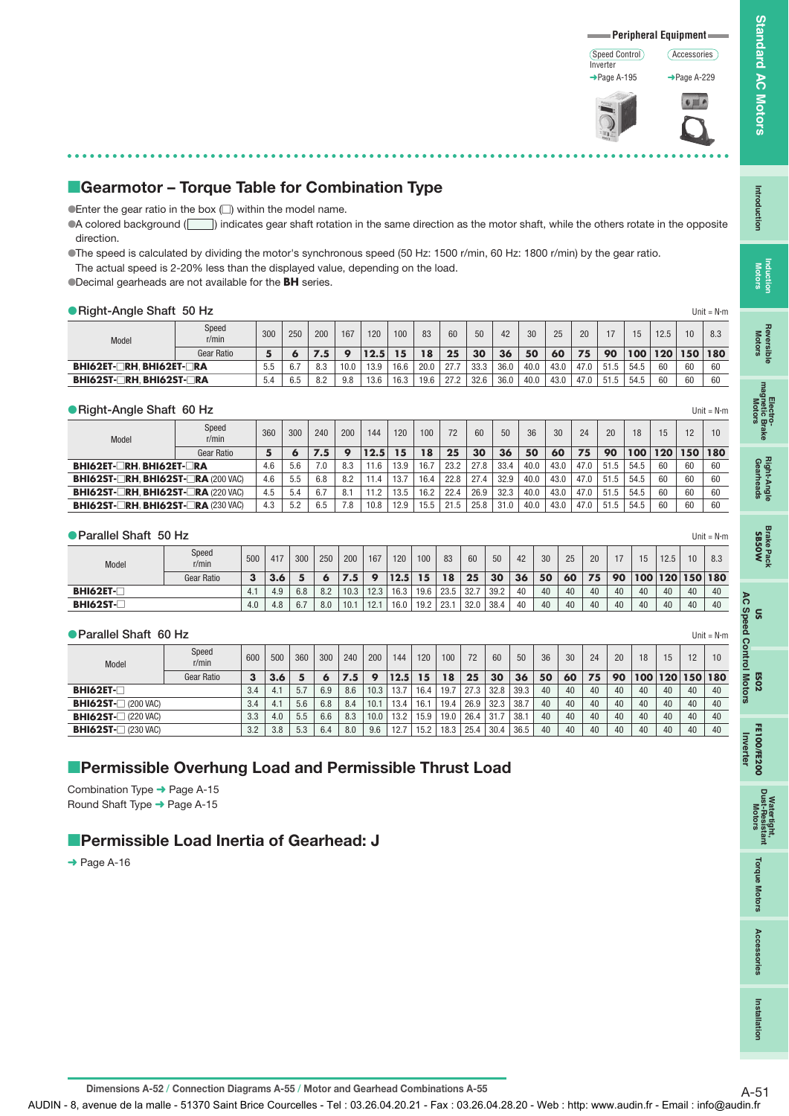#### Speed Control Inverter ➜Page A-195



Accessories

# **E**Gearmotor - Torque Table for Combination Type

 $\bullet$  Enter the gear ratio in the box  $\Box$ ) within the model name.

A colored background (  $\Box$ ) indicates gear shaft rotation in the same direction as the motor shaft, while the others rotate in the opposite direction.

The speed is calculated by dividing the motor's synchronous speed (50 Hz: 1500 r/min, 60 Hz: 1800 r/min) by the gear ratio. The actual speed is 2-20% less than the displayed value, depending on the load.

Decimal gearheads are not available for the **BH** series.

| Right-Angle Shaft 50 Hz         |                |     |     |     |      |      |      |      |      |      |      |      |      |      |      |      |      |         | Unit = $N \cdot m$ |
|---------------------------------|----------------|-----|-----|-----|------|------|------|------|------|------|------|------|------|------|------|------|------|---------|--------------------|
| Model                           | Speed<br>r/min | 300 | 250 | 200 | 167  | 120  | 100  | 83   | 60   | 50   | 42   | 30   | 25   | 20   | 17   |      | 12.5 | 10      | 8.3                |
|                                 | Gear Ratio     | 5   |     | 7.5 |      | 12.5 | 15   | 18   | 25   | 30   | 36   | 50   | 60   | 75   | 90   | 100  | 120  | 150 180 |                    |
| <b>BHI62ET-□RH, BHI62ET-□RA</b> |                | 5.5 | 6.7 | 8.3 | 10.0 | 13.9 | 16.6 | 20.0 | 27.7 | 33.3 | 36.0 | 40.0 | 43.0 | 47.0 | 51.5 | 54.5 | 60   | 60      | 60                 |
| <b>BHI62ST-□RH BHI62ST-□RA</b>  |                | 5.4 | 6.5 | 8.2 | 9.8  | 13.6 | 16.3 | 19.6 | 27.2 | 32.6 | 36.0 | 40.0 | 43.0 | 47.0 | 51.5 | 54.5 | 60   | 60      | 60                 |

## **Right-Angle Shaft 60 Hz** Unit = Nm

| Model                                     | Speed<br>r/min | 360 | 300 | 240 | 200 | 144  | 120  | 100  | 72   | 60   | 50   | 36   | 30   | 24   | 20   | 18   | 15  | 12  | 10 <sup>°</sup> |
|-------------------------------------------|----------------|-----|-----|-----|-----|------|------|------|------|------|------|------|------|------|------|------|-----|-----|-----------------|
|                                           | Gear Ratio     | 5   | o   | 7.5 | O   | 12.5 | 15   | 18   | 25   | 30   | 36   | 50   | 60   | 75   | 90   | 100  | 120 | 150 | 180             |
| <b>BHI62ET-□RH BHI62ET-□RA</b>            |                | 4.6 | 5.6 | 7.0 | 8.3 | 11.6 | 13.9 | 16.7 | 23.2 | 27.8 | 33.4 | 40.0 | 43.0 | 47.0 | 51.5 | 54.5 | 60  | 60  | 60              |
| <b>BHI62ST-ORH, BHI62ST-ORA (200 VAC)</b> |                | 4.6 | 5.5 | 6.8 | 8.2 | 11.4 | 13.7 | 16.4 | 22.8 | 27.4 | 32.9 | 40.0 | 43.0 | 47.0 | 51.5 | 54.5 | 60  | 60  | 60              |
| <b>BHI62ST-ORH. BHI62ST-ORA (220 VAC)</b> |                | 4.5 | 5.4 | 6.7 | 8.1 | 11.2 | 13.5 | 16.2 | 22.4 | 26.9 | 32.3 | 40.0 | 43.0 | 47.0 | 51.5 | 54.5 | 60  | 60  | 60              |
| <b>BHI62ST-TRH. BHI62ST-TRA (230 VAC)</b> |                | 4.3 | 5.2 | 6.5 | 7.8 | 10.8 | 12.9 | 15.5 | 215  | 25.8 |      | 40.0 | 43.0 | 47.0 | 51.5 | 54.5 | 60  | 60  | 60              |

#### **Parallel Shaft 50 Hz** Unit = Nm

| Model            | Speed<br>r/min | 500 | 417 | 300 | 250 | 200          | 167  | 120  | 100  | 83   | 60   | 50   | 42 | 30 | 25 | 20 |    | 15  | 12.5 | 10 <sup>1</sup> | 8.3 |
|------------------|----------------|-----|-----|-----|-----|--------------|------|------|------|------|------|------|----|----|----|----|----|-----|------|-----------------|-----|
|                  | Gear Ratio     |     |     |     |     | $.5^{\circ}$ |      | 12.5 | 15   | 18   | 25   | 30   | 36 | 50 | 60 | 75 | 90 | 100 | 120  | 150 180         |     |
| <b>BHI62ET-F</b> |                |     | 4.9 | 6.8 | 8.2 | 10.3         | 12.3 | 16.3 | 19.6 | 23.5 | 32.7 | 39.2 | 40 | 40 | 40 | 40 | 40 | 40  | 40   | 40              | 40  |
| BHI62ST-         |                | 4.0 | 4.8 | 6.7 | 8.0 | 10.1         | 12.1 | 16.0 | 19.2 | 23.7 | 32.0 | 38.4 | 40 | 40 | 40 | 40 | 40 | 40  | 40   | 40              | 40  |

#### **Parallel Shaft 60 Hz**  $\mathsf{U}$  Unit = Nm

| Model                                      | Speed<br>r/min | 600 | 500 | 360 | 300 | 240 | 200  | 144  | 120  | 100  | 72   | 60   | 50   | 36 | 30             | 24 | 20 | 18  | 15  | 12         | 10  |
|--------------------------------------------|----------------|-----|-----|-----|-----|-----|------|------|------|------|------|------|------|----|----------------|----|----|-----|-----|------------|-----|
|                                            | Gear Ratio     | 3   | 3.6 |     |     | - 5 | c    | 12.5 | 15   | 18   | 25   | 30   | 36   | 50 | 6 <sup>c</sup> | 75 | 90 | 100 | 120 | <b>150</b> | 180 |
| $BHI62ET-T$                                |                | 3.4 | 4.1 | 5.7 | 6.9 | 8.6 | 10.3 | 13.7 | 16.4 | 19.7 | 27.3 | 32.8 | 39.3 | 40 | 40             | 40 | 40 | 40  | 40  | 40         | 40  |
| <b>BHI62ST-</b> (200 VAC)                  |                | 3.4 | 4.1 | 5.6 | 6.8 | 8.4 | 10.1 | 13.4 | 16.1 | 19.4 | 26.9 | 32.3 | 38.7 | 40 | 40             | 40 | 40 | 40  | 40  | 40         | 40  |
| <b>BHI62ST-</b> (220 VAC)                  |                | 3.3 | 4.0 | 5.5 | 6.6 | 8.3 | 10.0 | 13.2 | 15.9 | 19.0 | 26.4 | 31.7 | 38.1 | 40 | 40             | 40 | 40 | 40  | 40  | 40         | 40  |
| <b>BHI62ST-<math>\Box</math></b> (230 VAC) |                | 3.2 | 3.8 | 5.3 | 6.4 | 8.0 | 9.6  | 12.7 | 15.2 | 18.3 | 25.4 | 30.4 | 36.5 | 40 | 40             | 40 | 40 | 40  | 40  | 40         | 40  |

# **Permissible Overhung Load and Permissible Thrust Load**

Combination Type ➜ Page A-15 Round Shaft Type ➜ Page A-15

# **Permissible Load Inertia of Gearhead: J**

→ Page A-16

**Standard AC Motors Standard AC Motors**

**Torque Motors** 

Accessories

Installation

**Dimensions A-52 / Connection Diagrams A-55 / Motor and Gearhead Combinations A-55** A-51

AUDIN - 8, avenue de la malle - 51370 Saint Brice Courcelles - Tel : 03.26.04.20.21 - Fax : 03.26.04.28.20 - Web : http: www.audin.fr - Email : info@audin.fr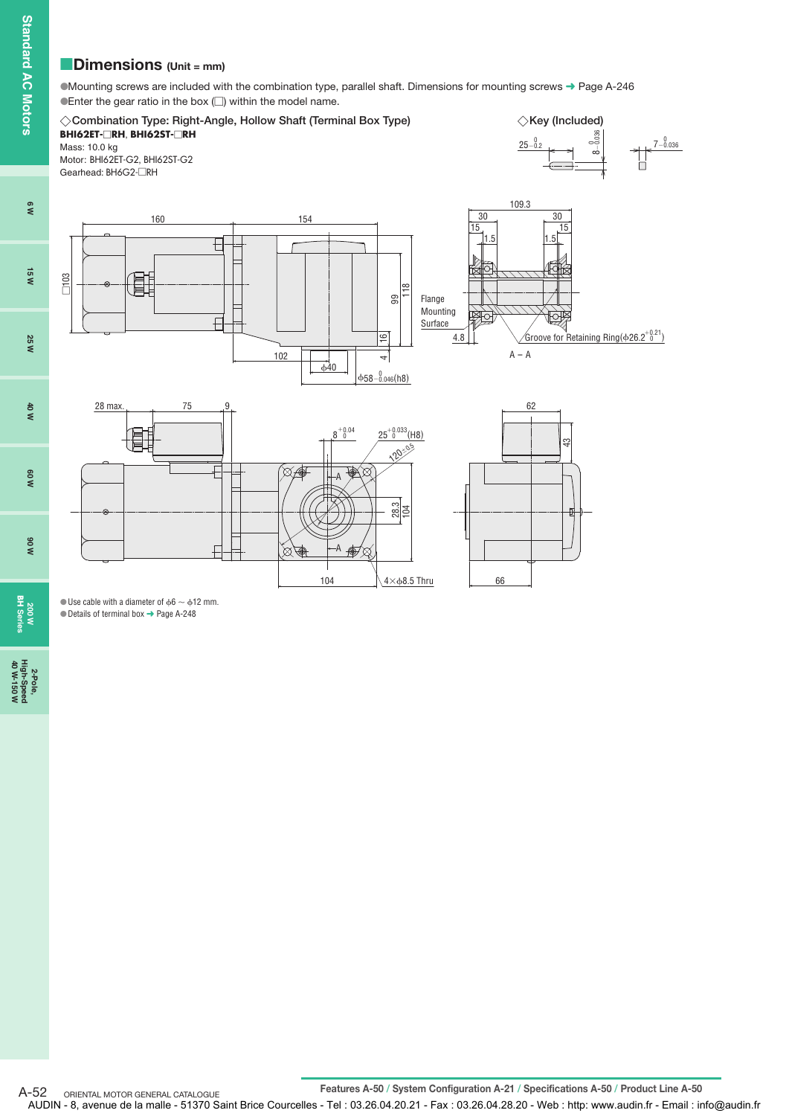# **Dimensions** (Unit = mm)

Mounting screws are included with the combination type, parallel shaft. Dimensions for mounting screws ➜ Page A-246  $\bullet$  Enter the gear ratio in the box  $\Box$ ) within the model name.



 $\bullet$  Use cable with a diameter of  $\phi$ 6  $\sim$   $\phi$ 12 mm. Details of terminal box ➜ Page A-248

2-Pole,<br>High-Speed<br>40 W-150 W **40 W-150 W**

**200 W BH Series**

**6 W**

**15 W**

**25 W**

**40 W**

**60 W**

**90 W**

Features A-50 / System Configuration A-21 / Specifications A-50 / Product Line A-50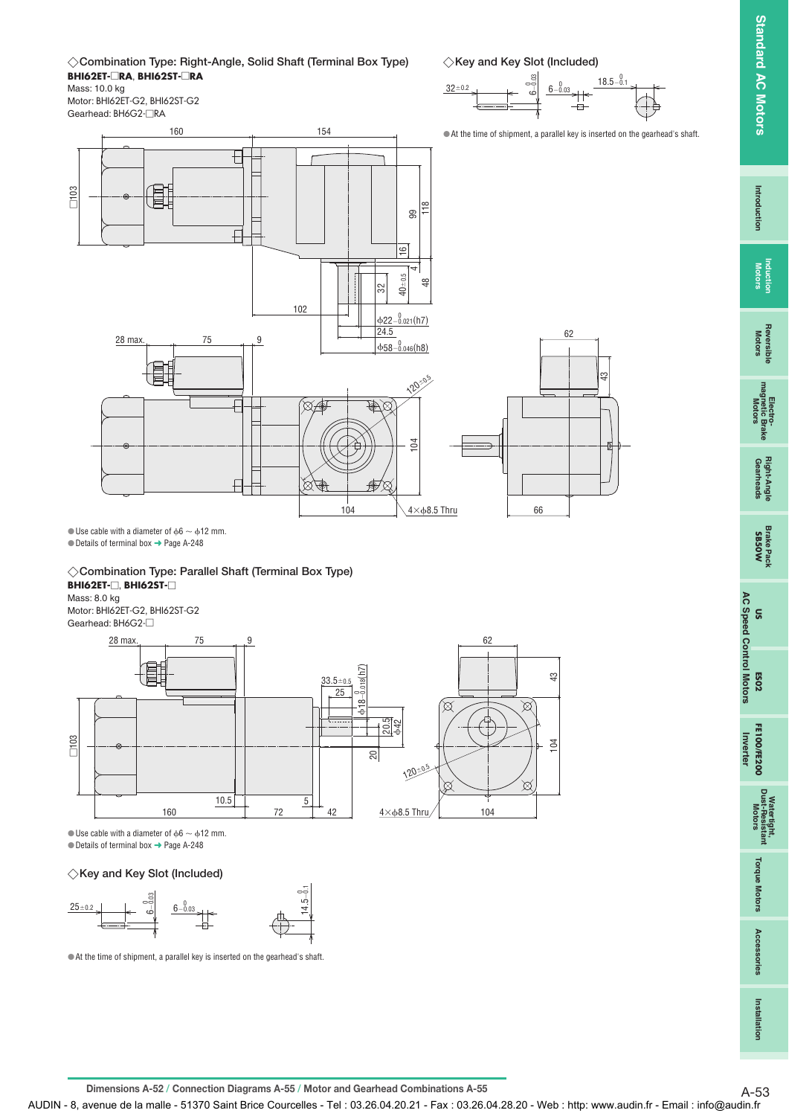**Standard AC Motors Standard AC Motors**

**AC Speed Control Motors**

**US**



**Combination Type: Right-Angle, Solid Shaft (Terminal Box Type) BHI62ET-**-**RA**, **BHI62ST-**-**RA** Mass: 10.0 kg

Motor: BHI62ET-G2, BHI62ST-G2 Gearhead: BH6G2-□RA





160 154 At the time of shipment, a parallel key is inserted on the gearhead's shaft. € -103 畳 118 99  $\overline{E}$  $\overline{9}$ 4  $40 - 0.5$ 48 32 102  $\Phi$ 22-0.021(h7) 24.5 62  $\frac{28 \text{ max.}}{25}$  75 9  $\frac{0}{0.046(h8)}$ क्ष  $\mathcal{O}_\mathcal{O}$ 120-₽ ( SF </del>⊗ 104  $\boxtimes$ ' R  $4\times$   $68.5$  Thru 104 66

 $\bullet$  Use cable with a diameter of  $\phi$ 6  $\sim$   $\phi$ 12 mm.

 $\bullet$  Details of terminal box  $\rightarrow$  Page A-248

**Combination Type: Parallel Shaft (Terminal Box Type) BHI62ET-**□, **BHI62ST-**□

Mass: 8.0 kg Motor: BHI62ET-G2, BHI62ST-G2 Gearhead: BH6G2-<sup>-</sup>



 $\bullet$  Use cable with a diameter of  $\phi$ 6  $\sim$   $\phi$ 12 mm.

 $\bullet$  Details of terminal box  $\rightarrow$  Page A-248

## **Key and Key Slot (Included)**



At the time of shipment, a parallel key is inserted on the gearhead's shaft.

**Dimensions A-52 / Connection Diagrams A-55 / Motor and Gearhead Combinations A-55** A-53

AUDIN - 8, avenue de la malle - 51370 Saint Brice Courcelles - Tel : 03.26.04.20.21 - Fax : 03.26.04.28.20 - Web : http: www.audin.fr - Email : info@audin.fr

Installation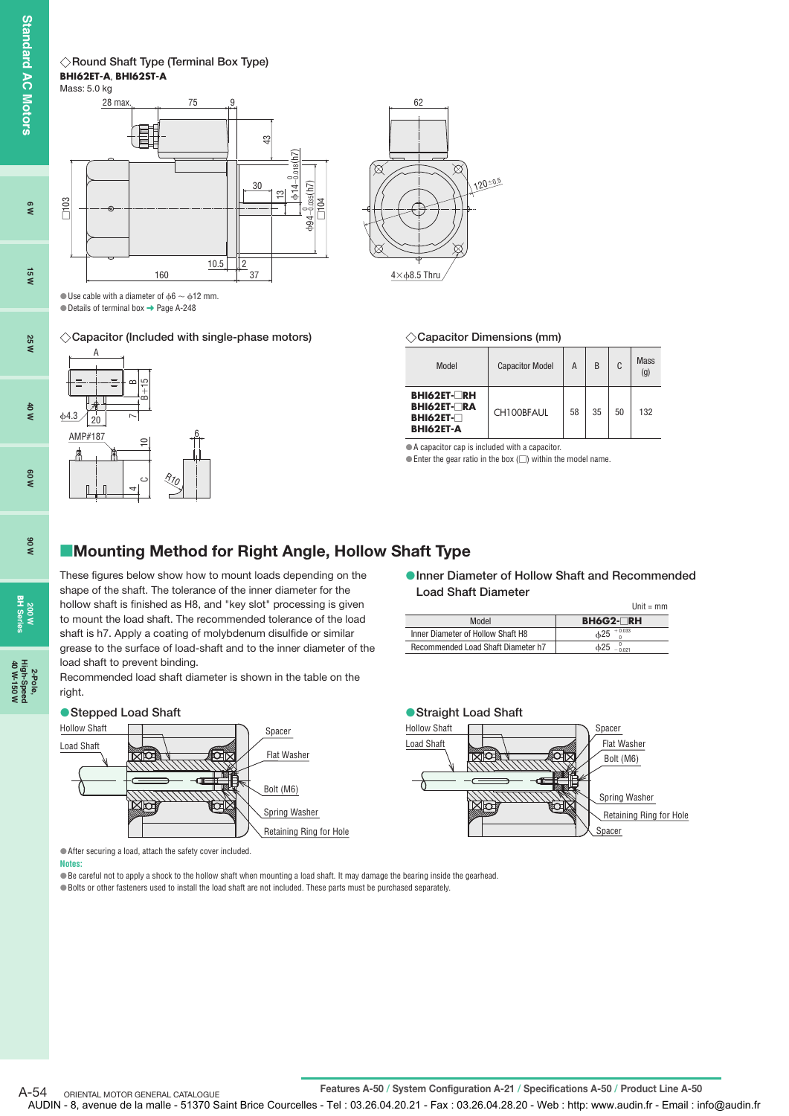**Standard AC Motors High-Speed AC Motors** and any any any computer and any standard High-Speed

**6 W**

**15 W**

**25 W**

**40 W**

 $\Phi$ 



**200 W BH Series**

**2-Pole, 40 W-150 W**

**Round Shaft Type (Terminal Box Type) BHI62ET-A**, **BHI62ST-A**



 $\bullet$  Use cable with a diameter of  $\phi$ 6  $\sim$   $\phi$ 12 mm.  $\bullet$  Details of terminal box  $\rightarrow$  Page A-248

**Capacitor (Included with single-phase motors) Capacitor Dimensions (mm)**



# ◇ Capacitor Dimensions (mm)

120=05

 $\boxtimes$ 

62

⅋

 $4\times$   $68.5$  Thru

| Model                                                                              | <b>Capacitor Model</b> | Α  | B  | C  | <b>Mass</b><br>(g) |
|------------------------------------------------------------------------------------|------------------------|----|----|----|--------------------|
| <b>BHI62ET-</b> □RH<br><b>BHI62ET-□RA</b><br><b>BHI62ET-</b> □<br><b>BHI62ET-A</b> | CH100BFAUL             | 58 | 35 | 50 | 132                |

A capacitor cap is included with a capacitor.

 $\bullet$  Enter the gear ratio in the box ( $\Box$ ) within the model name.

# **Mounting Method for Right Angle, Hollow Shaft Type**

These figures below show how to mount loads depending on the shape of the shaft. The tolerance of the inner diameter for the hollow shaft is finished as H8, and "key slot" processing is given to mount the load shaft. The recommended tolerance of the load shaft is h7. Apply a coating of molybdenum disulfide or similar grease to the surface of load-shaft and to the inner diameter of the load shaft to prevent binding.

Recommended load shaft diameter is shown in the table on the right.



### **Inner Diameter of Hollow Shaft and Recommended Load Shaft Diameter**

|                                    | Unit = $mm$      |
|------------------------------------|------------------|
| Model                              | <b>BH6G2-□RH</b> |
| Inner Diameter of Hollow Shaft H8  | $+0.033$<br>625  |
| Recommended Load Shaft Diameter h7 | ሐ25<br>0.021     |



After securing a load, attach the safety cover included.

### **Notes:**

Be careful not to apply a shock to the hollow shaft when mounting a load shaft. It may damage the bearing inside the gearhead. Bolts or other fasteners used to install the load shaft are not included. These parts must be purchased separately.

ORIENTAL MOTOR GENERAL CATALOGUE

A-54 ORIENTAL MOTOR GENERAL CATALOGUE<br> **Features A-50 / System Configuration A-21 / Specifications A-50 / Product Line A-50** 

AUDIN - 8, avenue de la malle - 51370 Saint Brice Courcelles - Tel : 03.26.04.20.21 - Fax : 03.26.04.28.20 - Web : http: www.audin.fr - Email : info@audin.fr